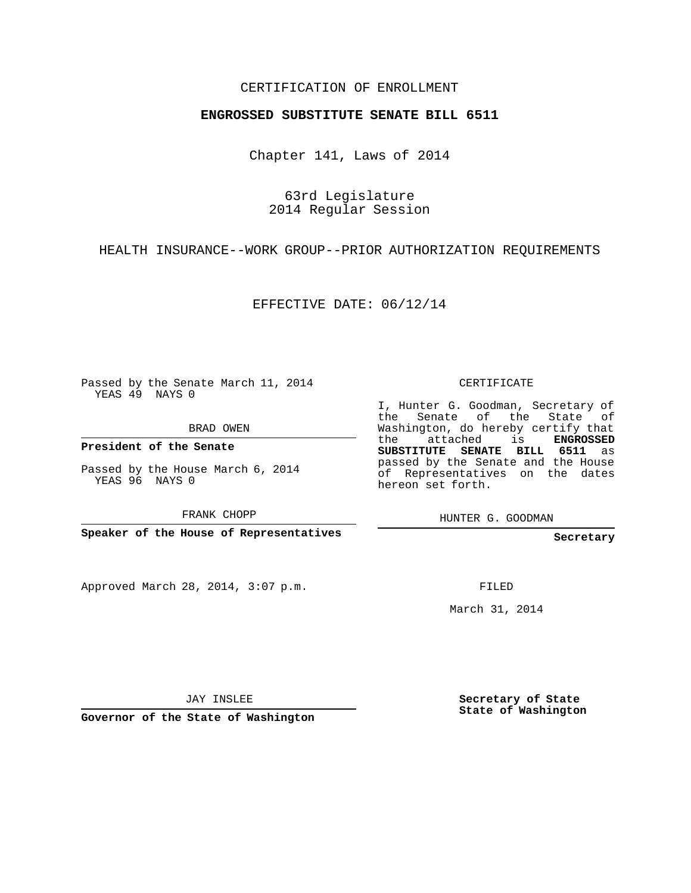## CERTIFICATION OF ENROLLMENT

## **ENGROSSED SUBSTITUTE SENATE BILL 6511**

Chapter 141, Laws of 2014

63rd Legislature 2014 Regular Session

HEALTH INSURANCE--WORK GROUP--PRIOR AUTHORIZATION REQUIREMENTS

EFFECTIVE DATE: 06/12/14

Passed by the Senate March 11, 2014 YEAS 49 NAYS 0

BRAD OWEN

**President of the Senate**

Passed by the House March 6, 2014 YEAS 96 NAYS 0

FRANK CHOPP

**Speaker of the House of Representatives**

Approved March 28, 2014, 3:07 p.m.

CERTIFICATE

I, Hunter G. Goodman, Secretary of the Senate of the State of Washington, do hereby certify that the attached is **ENGROSSED SUBSTITUTE SENATE BILL 6511** as passed by the Senate and the House of Representatives on the dates hereon set forth.

HUNTER G. GOODMAN

**Secretary**

FILED

March 31, 2014

JAY INSLEE

**Governor of the State of Washington**

**Secretary of State State of Washington**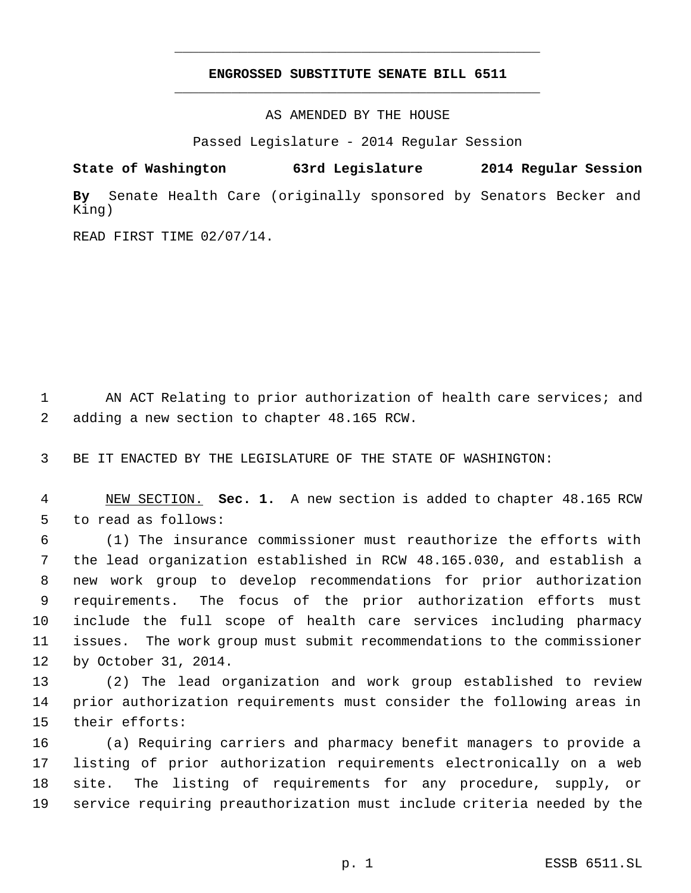## **ENGROSSED SUBSTITUTE SENATE BILL 6511** \_\_\_\_\_\_\_\_\_\_\_\_\_\_\_\_\_\_\_\_\_\_\_\_\_\_\_\_\_\_\_\_\_\_\_\_\_\_\_\_\_\_\_\_\_

\_\_\_\_\_\_\_\_\_\_\_\_\_\_\_\_\_\_\_\_\_\_\_\_\_\_\_\_\_\_\_\_\_\_\_\_\_\_\_\_\_\_\_\_\_

AS AMENDED BY THE HOUSE

Passed Legislature - 2014 Regular Session

**State of Washington 63rd Legislature 2014 Regular Session**

**By** Senate Health Care (originally sponsored by Senators Becker and King)

READ FIRST TIME 02/07/14.

1 AN ACT Relating to prior authorization of health care services; and adding a new section to chapter 48.165 RCW.

BE IT ENACTED BY THE LEGISLATURE OF THE STATE OF WASHINGTON:

 NEW SECTION. **Sec. 1.** A new section is added to chapter 48.165 RCW to read as follows:

 (1) The insurance commissioner must reauthorize the efforts with the lead organization established in RCW 48.165.030, and establish a new work group to develop recommendations for prior authorization requirements. The focus of the prior authorization efforts must include the full scope of health care services including pharmacy issues. The work group must submit recommendations to the commissioner by October 31, 2014.

 (2) The lead organization and work group established to review prior authorization requirements must consider the following areas in their efforts:

 (a) Requiring carriers and pharmacy benefit managers to provide a listing of prior authorization requirements electronically on a web site. The listing of requirements for any procedure, supply, or service requiring preauthorization must include criteria needed by the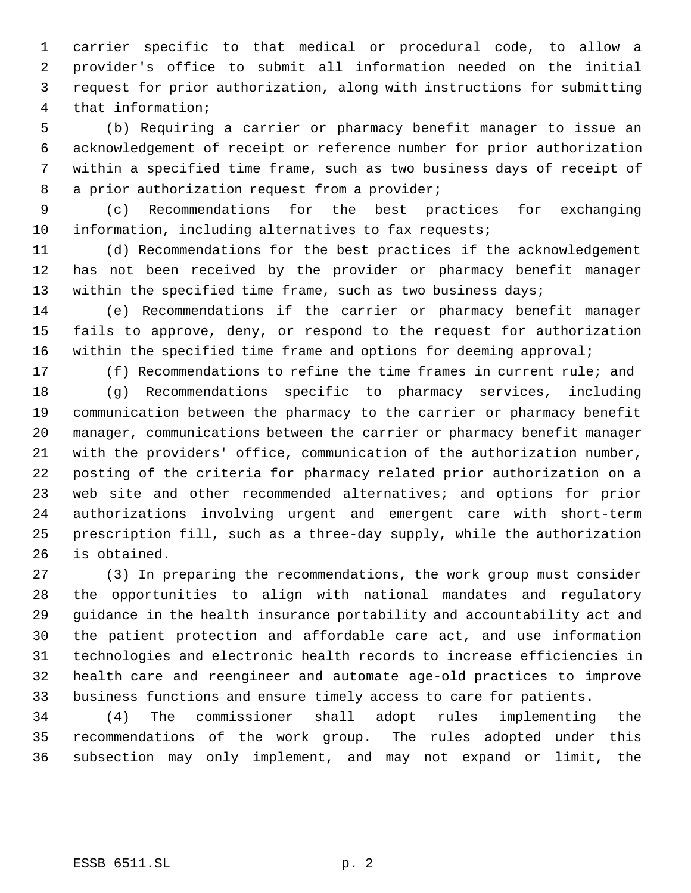carrier specific to that medical or procedural code, to allow a provider's office to submit all information needed on the initial request for prior authorization, along with instructions for submitting that information;

 (b) Requiring a carrier or pharmacy benefit manager to issue an acknowledgement of receipt or reference number for prior authorization within a specified time frame, such as two business days of receipt of 8 a prior authorization request from a provider;

 (c) Recommendations for the best practices for exchanging 10 information, including alternatives to fax requests;

 (d) Recommendations for the best practices if the acknowledgement has not been received by the provider or pharmacy benefit manager 13 within the specified time frame, such as two business days;

 (e) Recommendations if the carrier or pharmacy benefit manager fails to approve, deny, or respond to the request for authorization within the specified time frame and options for deeming approval;

(f) Recommendations to refine the time frames in current rule; and

 (g) Recommendations specific to pharmacy services, including communication between the pharmacy to the carrier or pharmacy benefit manager, communications between the carrier or pharmacy benefit manager with the providers' office, communication of the authorization number, posting of the criteria for pharmacy related prior authorization on a web site and other recommended alternatives; and options for prior authorizations involving urgent and emergent care with short-term prescription fill, such as a three-day supply, while the authorization is obtained.

 (3) In preparing the recommendations, the work group must consider the opportunities to align with national mandates and regulatory guidance in the health insurance portability and accountability act and the patient protection and affordable care act, and use information technologies and electronic health records to increase efficiencies in health care and reengineer and automate age-old practices to improve business functions and ensure timely access to care for patients.

 (4) The commissioner shall adopt rules implementing the recommendations of the work group. The rules adopted under this subsection may only implement, and may not expand or limit, the